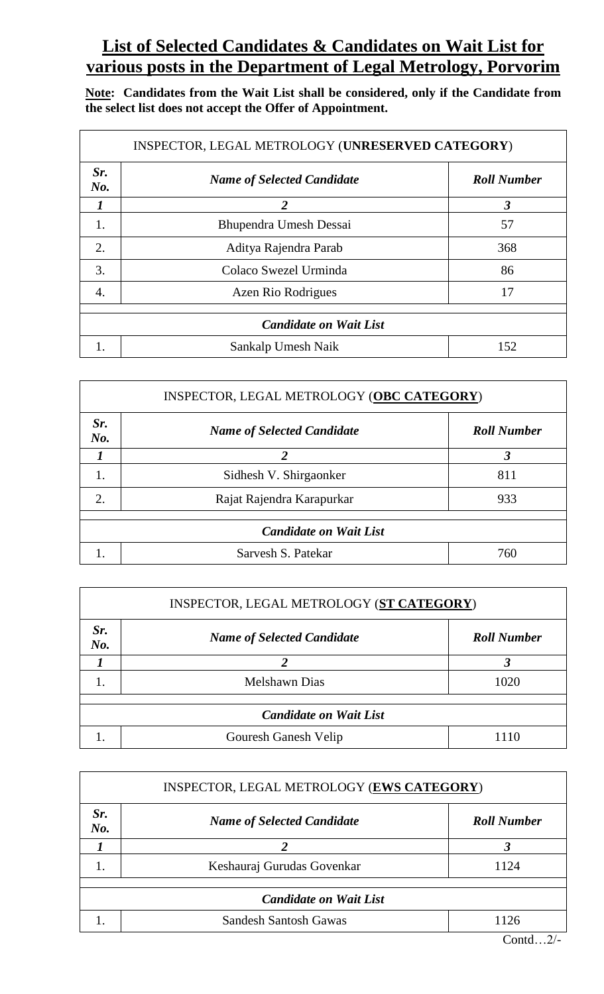## **List of Selected Candidates & Candidates on Wait List for various posts in the Department of Legal Metrology, Porvorim**

**Note: Candidates from the Wait List shall be considered, only if the Candidate from the select list does not accept the Offer of Appointment.**

| INSPECTOR, LEGAL METROLOGY (UNRESERVED CATEGORY) |                                   |                      |
|--------------------------------------------------|-----------------------------------|----------------------|
| Sr.<br>No.                                       | <b>Name of Selected Candidate</b> | <b>Roll Number</b>   |
|                                                  | $\mathfrak{D}$                    | $\boldsymbol{\beta}$ |
| 1.                                               | Bhupendra Umesh Dessai            | 57                   |
| 2.                                               | Aditya Rajendra Parab             | 368                  |
| 3.                                               | Colaco Swezel Urminda             | 86                   |
| 4.                                               | Azen Rio Rodrigues                | 17                   |
| <b>Candidate on Wait List</b>                    |                                   |                      |
|                                                  | Sankalp Umesh Naik                | 152                  |

| INSPECTOR, LEGAL METROLOGY (OBC CATEGORY) |                                   |                    |
|-------------------------------------------|-----------------------------------|--------------------|
| Sr.<br>No.                                | <b>Name of Selected Candidate</b> | <b>Roll Number</b> |
|                                           | $\boldsymbol{c}$                  | 3                  |
|                                           | Sidhesh V. Shirgaonker            | 811                |
| 2.                                        | Rajat Rajendra Karapurkar         | 933                |
| <b>Candidate on Wait List</b>             |                                   |                    |
|                                           | Sarvesh S. Patekar                | 760                |

| INSPECTOR, LEGAL METROLOGY (ST CATEGORY) |                                   |                    |  |
|------------------------------------------|-----------------------------------|--------------------|--|
| Sr.<br>$N0$ .                            | <b>Name of Selected Candidate</b> | <b>Roll Number</b> |  |
|                                          |                                   |                    |  |
|                                          | <b>Melshawn Dias</b>              | 1020               |  |
| <b>Candidate on Wait List</b>            |                                   |                    |  |
|                                          | Gouresh Ganesh Velip              | 1110               |  |

| INSPECTOR, LEGAL METROLOGY (EWS CATEGORY) |                                   |                                                       |
|-------------------------------------------|-----------------------------------|-------------------------------------------------------|
| Sr.<br>No.                                | <b>Name of Selected Candidate</b> | <b>Roll Number</b>                                    |
|                                           |                                   | 3                                                     |
|                                           | Keshauraj Gurudas Govenkar        | 1124                                                  |
|                                           |                                   |                                                       |
| <b>Candidate on Wait List</b>             |                                   |                                                       |
|                                           | <b>Sandesh Santosh Gawas</b>      | 1126                                                  |
|                                           |                                   | $\sim$ $\prime$<br>$\sim$ $\sim$ $\sim$ $\sim$ $\sim$ |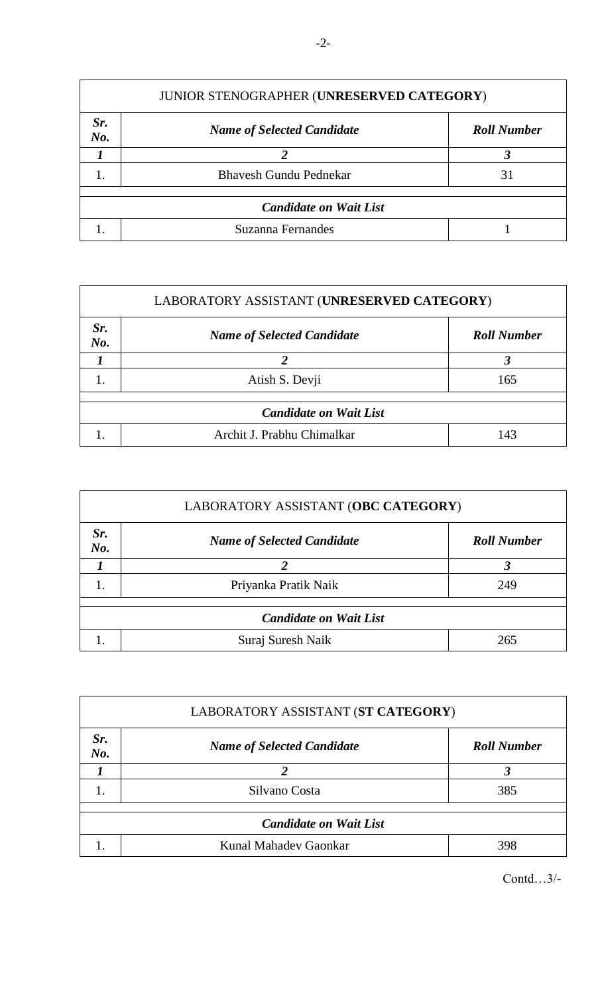| JUNIOR STENOGRAPHER (UNRESERVED CATEGORY) |                                   |                    |  |
|-------------------------------------------|-----------------------------------|--------------------|--|
| Sr.<br>No.                                | <b>Name of Selected Candidate</b> | <b>Roll Number</b> |  |
|                                           |                                   |                    |  |
|                                           | <b>Bhavesh Gundu Pednekar</b>     | 31                 |  |
| <b>Candidate on Wait List</b>             |                                   |                    |  |
|                                           | Suzanna Fernandes                 |                    |  |

| LABORATORY ASSISTANT (UNRESERVED CATEGORY) |                                   |                    |  |
|--------------------------------------------|-----------------------------------|--------------------|--|
| Sr.<br>$N0$ .                              | <b>Name of Selected Candidate</b> | <b>Roll Number</b> |  |
|                                            |                                   |                    |  |
|                                            | Atish S. Devji                    | 165                |  |
|                                            |                                   |                    |  |
| <b>Candidate on Wait List</b>              |                                   |                    |  |
|                                            | Archit J. Prabhu Chimalkar        | 143                |  |

| LABORATORY ASSISTANT (OBC CATEGORY) |                                   |                    |  |
|-------------------------------------|-----------------------------------|--------------------|--|
| Sr.<br>No.                          | <b>Name of Selected Candidate</b> | <b>Roll Number</b> |  |
|                                     |                                   |                    |  |
| 1.                                  | Priyanka Pratik Naik              | 249                |  |
| <b>Candidate on Wait List</b>       |                                   |                    |  |
|                                     | Suraj Suresh Naik                 | 265                |  |

| LABORATORY ASSISTANT (ST CATEGORY) |                                   |                    |  |
|------------------------------------|-----------------------------------|--------------------|--|
| Sr.<br>No.                         | <b>Name of Selected Candidate</b> | <b>Roll Number</b> |  |
|                                    |                                   |                    |  |
|                                    | Silvano Costa                     | 385                |  |
| <b>Candidate on Wait List</b>      |                                   |                    |  |
|                                    | Kunal Mahadev Gaonkar             | 398                |  |

Contd…3/-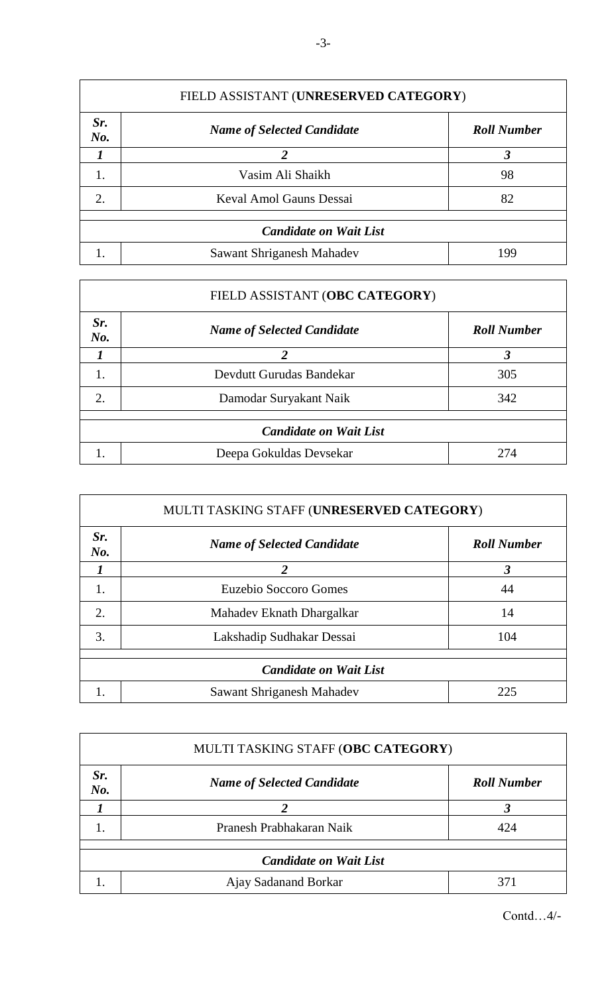| FIELD ASSISTANT (UNRESERVED CATEGORY) |                                   |                    |  |
|---------------------------------------|-----------------------------------|--------------------|--|
| Sr.<br>No.                            | <b>Name of Selected Candidate</b> | <b>Roll Number</b> |  |
|                                       |                                   | 3                  |  |
| 1.                                    | Vasim Ali Shaikh                  | 98                 |  |
| 2.                                    | Keval Amol Gauns Dessai           | 82                 |  |
|                                       |                                   |                    |  |
| <b>Candidate on Wait List</b>         |                                   |                    |  |
|                                       | Sawant Shriganesh Mahadev         | 199                |  |

|                               | FIELD ASSISTANT (OBC CATEGORY)    |                      |  |
|-------------------------------|-----------------------------------|----------------------|--|
| Sr.<br>No.                    | <b>Name of Selected Candidate</b> | <b>Roll Number</b>   |  |
|                               | $\mathfrak{D}$                    | $\boldsymbol{\beta}$ |  |
| 1.                            | Devdutt Gurudas Bandekar          | 305                  |  |
| 2.                            | Damodar Suryakant Naik            | 342                  |  |
|                               |                                   |                      |  |
| <b>Candidate on Wait List</b> |                                   |                      |  |
|                               | Deepa Gokuldas Devsekar           | 274                  |  |

| MULTI TASKING STAFF (UNRESERVED CATEGORY) |                                   |                    |
|-------------------------------------------|-----------------------------------|--------------------|
| Sr.<br>No.                                | <b>Name of Selected Candidate</b> | <b>Roll Number</b> |
|                                           | $\mathfrak{D}$                    | 3                  |
| 1.                                        | Euzebio Soccoro Gomes             | 44                 |
| 2.                                        | Mahadev Eknath Dhargalkar         | 14                 |
| 3.                                        | Lakshadip Sudhakar Dessai         | 104                |
|                                           |                                   |                    |
|                                           | <b>Candidate on Wait List</b>     |                    |
|                                           | Sawant Shriganesh Mahadev         | 225                |

| MULTI TASKING STAFF (OBC CATEGORY) |                                   |                    |  |
|------------------------------------|-----------------------------------|--------------------|--|
| Sr.<br>No.                         | <b>Name of Selected Candidate</b> | <b>Roll Number</b> |  |
|                                    |                                   | 3                  |  |
|                                    | Pranesh Prabhakaran Naik          | 424                |  |
| <b>Candidate on Wait List</b>      |                                   |                    |  |
|                                    | Ajay Sadanand Borkar              | 371                |  |

Contd…4/-